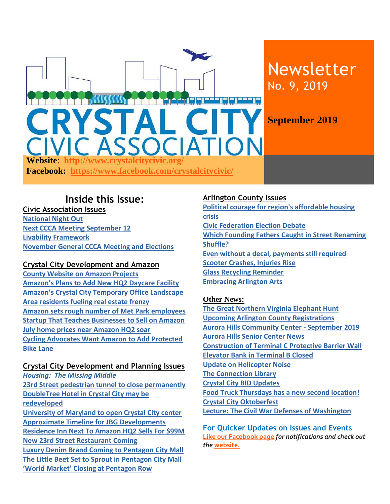

### **Inside this Issue:**

**Civic Association Issues [National Night Out](#page-1-0) [Next CCCA Meeting September 12](#page-1-0) [Livability Framework](#page-1-1) [November General CCCA Meeting and Elections](#page-1-2)**

#### **Crystal City Development and Amazon**

**[County Website on Amazon Projects](#page-1-3) Amazon's Plans to Add [New HQ2 Daycare Facility](#page-2-0)  Amazon's Crystal City [Temporary Office Landscape](#page-1-4)  [Area residents fueling real estate frenzy](#page-2-1) [Amazon sets rough number of Met Park](#page-1-4) employees [Startup That Teaches Businesses to Sell on Amazon](#page-2-0) July home [prices near Amazon HQ2 soar](#page-2-2) [Cycling Advocates Want Amazon to Add Protected](#page-2-3)  [Bike Lane](#page-2-3)**

#### **Crystal City Development and Planning Issues**

*[Housing: The Missing Middle](#page-3-0)* **[23rd Street pedestrian tunnel to close permanently](#page-3-1) [DoubleTree Hotel in Crystal City may be](#page-3-2)  [redeveloped](#page-3-2) [University of Maryland to open Crystal City center](#page-3-2) [Approximate Timeline for JBG Developments](#page-3-1) [Residence Inn Next To Amazon HQ2 Sells For \\$99M](#page-4-0) [New 23rd Street Restaurant Coming](#page-4-1) Luxury Denim Brand [Coming to Pentagon City Mall](#page-4-2) [The Little Beet Set to Sprout in](#page-4-3) Pentagon City Mall ['World Market' Closing at Pentagon Row](#page-4-4)** 

#### **Arlington County Issues**

**[Political courage for region's affordable housing](#page-4-5)  [crisis](#page-4-5) [Civic Federation Election Debate](#page-4-6) [Which Founding Fathers Caught in Street Renaming](#page-4-7)  [Shuffle?](#page-4-7) [Even without a decal, payments still required](#page-5-0) [Scooter Crashes, Injuries Rise](#page-5-1) [Glass Recycling Reminder](#page-5-2) [Embracing Arlington Arts](#page-5-3)**

#### **Other News:**

**[The Great Northern Virginia Elephant Hunt](#page-5-4) [Upcoming Arlington County Registrations](#page-5-5) [Aurora Hills Community Center -](#page-5-6) September 2019 [Aurora Hills Senior Center News](#page-5-4) Construction of Terminal C [Protective Barrier Wall](#page-6-0)  [Elevator Bank in Terminal B Closed](#page-6-1) [Update on Helicopter Noise](#page-6-2) The Connection Library [Crystal City BID Updates](#page-6-3) [Food Truck Thursdays has a new second location!](#page-7-0) [Crystal City Oktoberfest](#page-7-1) [Lecture: The Civil War Defenses of Washington](#page-7-2)**

**For Quicker Updates on Issues and Events [Like our Facebook page](https://www.facebook.com/crystalcitycivic/?ref=aymt_homepage_panel)** *for notifications and check out the* **[website.](http://www.crystalcitycivic.org/)**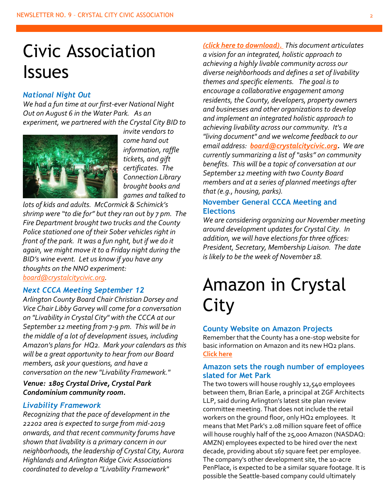# Civic Association Issues

#### <span id="page-1-0"></span>*National Night Out*

*We had a fun time at our first-ever National Night Out on August 6 in the Water Park. As an experiment, we partnered with the Crystal City BID to* 



*invite vendors to come hand out information, raffle tickets, and gift certificates. The Connection Library brought books and games and talked to* 

*lots of kids and adults. McCormick & Schimick's shrimp were "to die for" but they ran out by 7 pm. The Fire Department brought two trucks and the County Police stationed one of their Sober vehicles right in front of the park. It was a fun nght, but if we do it again, we might move it to a Friday night during the BID's wine event. Let us know if you have any thoughts on the NNO experiment: [board@crystalcitycivic.org.](mailto:board@crystalcitycivic.org)* 

#### *Next CCCA Meeting September 12*

*Arlington County Board Chair Christian Dorsey and Vice Chair Libby Garvey will come for a conversation on "Livability in Crystal City" with the CCCA at our September 12 meeting from 7-9 pm. This will be in the middle of a lot of development issues, including Amazon's plans for HQ2. Mark your calendars as this will be a great opportunity to hear from our Board members, ask your questions, and have a conversation on the new "Livability Framework."* 

#### *Venue: 1805 Crystal Drive, Crystal Park Condominium community room.*

#### *Livability Framework*

*Recognizing that the pace of development in the 22202 area is expected to surge from mid-2019 onwards, and that recent community forums have shown that livability is a primary concern in our neighborhoods, the leadership of Crystal City, Aurora Highlands and Arlington Ridge Civic Associations coordinated to develop a "Livability Framework"* 

*[\(click here to download\).](http://crystalcitycivic.org/22202-livability-framework%206.23.19.pdf) This document articulates a vision for an integrated, holistic approach to achieving a highly livable community across our diverse neighborhoods and defines a set of livability themes and specific elements. The goal is to encourage a collaborative engagement among residents, the County, developers, property owners and businesses and other organizations to develop and implement an integrated holistic approach to achieving livability across our community. It's a "living document" and we welcome feedback to our email address: [board@crystalcitycivic.org.](mailto:board@crystalcitycivic.org) We are currently summarizing a list of "asks" on community benefits. This will be a topic of conversation at our September 12 meeting with two County Board members and at a series of planned meetings after that (e.g., housing, parks).* 

#### <span id="page-1-2"></span>**November General CCCA Meeting and Elections**

*We are considering organizing our November meeting around development updates for Crystal City. In addition, we will have elections for three offices: President, Secretary, Membership Liaison. The date is likely to be the week of November 18.*

## Amazon in Crystal City

#### <span id="page-1-3"></span>**County Website on Amazon Projects**

Remember that the County has a one-stop website for basic information on Amazon and its new HQ2 plans. **[Click here](https://www.arlingtonva.us/amazon/)**

#### <span id="page-1-4"></span><span id="page-1-1"></span>**Amazon sets the rough number of employees slated for Met Park**

The two towers will house roughly 12,540 employees between them, Brian Earle, a principal at ZGF Architects LLP, said during Arlington's latest site plan review committee meeting. That does not include the retail workers on the ground floor, only HQ2 employees. It means that Met Park's 2.08 million square feet of office will house roughly half of the 25,000 Amazon (NASDAQ: AMZN) employees expected to be hired over the next decade, providing about 167 square feet per employee. The company's other development site, the 10-acre PenPlace, is expected to be a similar square footage. It is possible the Seattle-based company could ultimately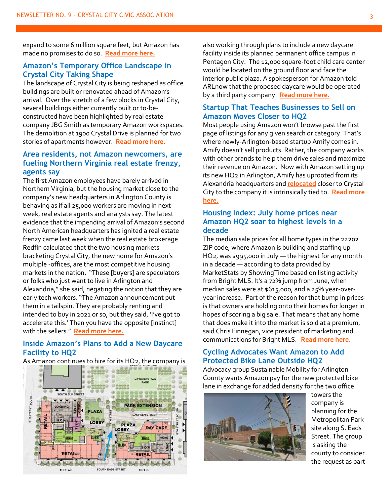expand to some 6 million square feet, but Amazon has made no promises to do so. **[Read more here.](https://www.bizjournals.com/washington/news/2019/07/31/amazon-sets-the-rough-number-of-employees-slated.html?ana=e_wash_bn_breakingnews&j=89791911&t=&mkt_tok=eyJpIjoiWWprM1lqaGxZakl5TldWayIsInQiOiJiaVVqdVB1RFlnYnVjT2tqTnRsN0xNbFpTazJ1NXcyMW1FNStUVW1XYlVjMDlRa1wvXC9yYTVHUHNxSEZCMDFXcTdKQlpnTUVYWjV3cE1nc2pUYkIwVmF0dnJKNW9xZHQ3bVJMTEhYU1VkcWhnd215N0NEUThLNmYrNWl4V3pEbThrIn0%3D)**

#### **Amazon's Temporary Office Landscape in Crystal City Taking Shape**

The landscape of Crystal City is being reshaped as office buildings are built or renovated ahead of Amazon's arrival. Over the stretch of a few blocks in Crystal City, several buildings either currently built or to-beconstructed have been highlighted by real estate company JBG Smith as temporary Amazon workspaces. The demolition at 1900 Crystal Drive is planned for two stories of apartments however. **[Read more here.](https://www.arlnow.com/2019/08/09/amazons-temporary-office-landscape-in-crystal-city-taking-shape/?mc_cid=11794a6084&mc_eid=e22d65c5c2)**

#### <span id="page-2-1"></span>**Area residents, not Amazon newcomers, are fueling Northern Virginia real estate frenzy, agents say**

The first Amazon employees have barely arrived in Northern Virginia, but the housing market close to the company's new headquarters in Arlington County is behaving as if all 25,000 workers are moving in next week, real estate agents and analysts say. The latest evidence that the impending arrival of Amazon's second North American headquarters has ignited a real estate frenzy came last week when the real estate brokerage Redfin calculated that the two housing markets bracketing Crystal City, the new home for Amazon's multiple -offices, are the most competitive housing markets in the nation. "These [buyers] are speculators or folks who just want to live in Arlington and Alexandria," she said, negating the notion that they are early tech workers. "The Amazon announcement put them in a tailspin. They are probably renting and intended to buy in 2021 or so, but they said, 'I've got to accelerate this.' Then you have the opposite [instinct] with the sellers." **[Read more here.](https://www.washingtonpost.com/local/area-residents-not-amazon-newcomers-are-fueling-northern-virginia-real-estate-frenzy-agents-say/2019/08/26/a4cbff34-c514-11e9-9986-1fb3e4397be4_story.html?wpisrc=nl_buzz&wpmm=1)**

#### <span id="page-2-0"></span>**Inside Amazon's Plans to Add a New Daycare Facility to HQ2**

As Amazon continues to hire for its HQ2, the company is



also working through plans to include a new daycare facility inside its planned permanent office campus in Pentagon City. The 12,000 square-foot child care center would be located on the ground floor and face the interior public plaza. A spokesperson for Amazon told ARLnow that the proposed daycare would be operated by a third party company. **[Read more here.](https://www.arlnow.com/2019/08/06/inside-amazons-plans-to-add-a-new-daycare-facility-to-hq2/?mc_cid=6ae93946f9&mc_eid=e22d65c5c2)**

#### **Startup That Teaches Businesses to Sell on Amazon Moves Closer to HQ2**

Most people using Amazon won't browse past the first page of listings for any given search or category. That's where newly-Arlington-based startup Amify comes in. Amify doesn't sell products. Rather, the company works with other brands to help them drive sales and maximize their revenue on Amazon. Now with Amazon setting up its new HQ2 in Arlington, Amify has uprooted from its Alexandria headquarters and **[relocated](https://www.businesswire.com/news/home/20190806005026/en/Amazon-E-commerce-Service-Provider-Amify-Moves-Crystal)** closer to Crystal City to the company it is intrinsically tied to. **[Read more](https://www.arlnow.com/2019/08/12/startup-that-teaches-businesses-to-sell-on-amazon-moves-closer-to-hq2/?mc_cid=417eaba8bb&mc_eid=e22d65c5c2)  [here.](https://www.arlnow.com/2019/08/12/startup-that-teaches-businesses-to-sell-on-amazon-moves-closer-to-hq2/?mc_cid=417eaba8bb&mc_eid=e22d65c5c2)**

#### <span id="page-2-2"></span>**Housing Index: July home prices near Amazon HQ2 soar to highest levels in a decade**

The median sale prices for all home types in the 22202 ZIP code, where Amazon is building and staffing up HQ2, was \$995,000 in July — the highest for any month in a decade — according to data provided by MarketStats by ShowingTime based on listing activity from Bright MLS. It's a 72% jump from June, when median sales were at \$615,000, and a 25% year-overyear increase. Part of the reason for that bump in prices is that owners are holding onto their homes for longer in hopes of scoring a big sale. That means that any home that does make it into the market is sold at a premium, said Chris Finnegan, vice president of marketing and communications for Bright MLS. **[Read more here.](https://www.bizjournals.com/washington/news/2019/08/13/housing-index-july-home-prices-near-amazon-hq2.html?iana=hpmvp_wash_news_headline?ana=e_wash_bn_breakingnews&j=89791911&t=&mkt_tok=eyJpIjoiWWprM1lqaGxZakl5TldWayIsInQiOiJiaVVqdVB1RFlnYnVjT2tqTnRsN0xNbFpTazJ1NXcyMW1FNStUVW1XYlVjMDlRa1wvXC9yYTVHUHNxSEZCMDFXcTdKQlpnTUVYWjV3cE1nc2pUYkIwVmF0dnJKNW9xZHQ3bVJMTEhYU1VkcWhnd215N0NEUThLNmYrNWl4V3pEbThrIn0%3D)**

#### <span id="page-2-3"></span>**Cycling Advocates Want Amazon to Add Protected Bike Lane Outside HQ2**

Advocacy group Sustainable Mobility for Arlington County wants Amazon pay for the new protected bike lane in exchange for added density for the two office



towers the company is planning for the Metropolitan Park site along S. Eads Street. The group is asking the county to consider the request as part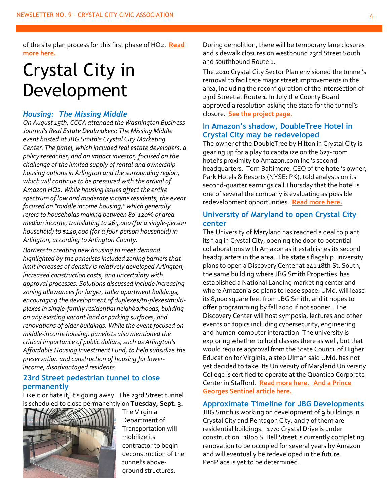of the site plan process for this first phase of HQ2. **[Read](https://www.arlnow.com/2019/08/13/cycling-advocates-want-amazon-to-add-protected-bike-lane-outside-hq2/?mc_cid=00c0e8fa1f&mc_eid=e22d65c5c2)  [more here.](https://www.arlnow.com/2019/08/13/cycling-advocates-want-amazon-to-add-protected-bike-lane-outside-hq2/?mc_cid=00c0e8fa1f&mc_eid=e22d65c5c2)**

# Crystal City in Development

#### <span id="page-3-0"></span>*Housing: The Missing Middle*

*On August 15th, CCCA attended the Washington Business Journal's Real Estate Dealmakers: The Missing Middle event hosted at JBG Smith's Crystal City Marketing Center. The panel, which included real estate developers, a policy reseacher, and an impact investor, focused on the challenge of the limited supply of rental and ownership housing options in Arlington and the surrounding region, which will continue to be pressured with the arrival of Amazon HQ2. While housing issues affect the entire spectrum of low and moderate income residents, the event focused on "middle income housing," which generally refers to households making between 80-120% of area median income, translating to \$65,000 (for a single-person household) to \$140,000 (for a four-person household) in Arlington, according to Arlington County.*

*Barriers to creating new housing to meet demand highlighted by the panelists included zoning barriers that limit increases of density is relatively developed Arlington, increased construction costs, and uncertainty with approval processes. Solutions discussed include increasing zoning allowances for larger, taller apartment buildings, encouraging the development of duplexes/tri-plexes/multiplexes in single-family residential neighborhoods, building on any existing vacant land or parking surfaces, and renovations of older buildings. While the event focused on middle-income housing, panelists also mentioned the critical importance of public dollars, such as Arlington's Affordable Housing Investment Fund, to help subsidize the preservation and construction of housing for lowerincome, disadvantaged residents.*

#### <span id="page-3-1"></span>**23rd Street pedestrian tunnel to close permanently**

Like it or hate it, it's going away. The 23rd Street tunnel is scheduled to close permanently on **Tuesday, Sept. 3.**



The Virginia Department of Transportation will mobilize its contractor to begin deconstruction of the tunnel's aboveground structures.

During demolition, there will be temporary lane closures and sidewalk closures on westbound 23rd Street South and southbound Route 1.

The 2010 Crystal City Sector Plan envisioned the tunnel's removal to facilitate major street improvements in the area, including the reconfiguration of the intersection of 23rd Street at Route 1. In July the County Board approved a resolution asking the state for the tunnel's closure. **[See the project page.](https://projects.arlingtonva.us/projects/23rd-street-south-realignment/)**

#### <span id="page-3-2"></span>**In Amazon's shadow, DoubleTree Hotel in Crystal City may be redeveloped**

The owner of the DoubleTree by Hilton in Crystal City is gearing up for a play to capitalize on the 627-room hotel's proximity to Amazon.com Inc.'s second headquarters. Tom Baltimore, CEO of the hotel's owner, Park Hotels & Resorts (NYSE: PK), told analysts on its second-quarter earnings call Thursday that the hotel is one of several the company is evaluating as possible redevelopment opportunities. **[Read more here.](https://www.bizjournals.com/washington/news/2019/08/01/in-amazon-s-shadow-doubletree-hotel-in-crystal.html?ana=e_ae_set1&j=89725231&mkt_tok=eyJpIjoiWm1Wa1lUTTBObUUzTkRNMyIsInQiOiJCQWp3N202QjUrNUFZZXhPWUpjMnZWMDJZZHdmb1wvZjBUN2FERjZDcjhFXC9jZk0wMDRNQ2kyQkJNTVMyQm1jb2piTVVtYkJwZVdQVlkxa282dUQreWFjQU1CUEE0VjF6VERhNEdRRG5XTjhGMzFHb2hLNGxEalozSzhNMW11Uk1mIn0%3D)**

#### **University of Maryland to open Crystal City center**

The University of Maryland has reached a deal to plant its flag in Crystal City, opening the door to potential collaborations with Amazon as it establishes its second headquarters in the area. The state's flagship university plans to open a Discovery Center at 241 18th St. South, the same building where JBG Smith Properties has established a National Landing marketing center and where Amazon also plans to lease space. UMd. will lease its 8,000 square feet from JBG Smith, and it hopes to offer programming by fall 2020 if not sooner. The Discovery Center will host symposia, lectures and other events on topics including cybersecurity, engineering and human-computer interaction. The university is exploring whether to hold classes there as well, but that would require approval from the State Council of Higher Education for Virginia, a step Ulman said UMd. has not yet decided to take. Its University of Maryland University College is certified to operate at the Quantico Corporate Center in Stafford. **[Read more here.](https://www.bizjournals.com/washington/news/2019/08/21/university-of-maryland-to-open-crystal-city-center.html?ana=e_wash_bn_breakingnews&j=89836141&t=&mkt_tok=eyJpIjoiTURneVpXUTBOR05tWkRVeiIsInQiOiJPYTdMMjg3ejFNQWlcL2JQaXFaOHdGQzdyTHZnMUhaUnp2UmZQV0p5ZWNia0RvXC9SSk5FOEFUMVBHVVwvRGdrNzVUdlAxdTdObnpLRGpOR3A5RjF3aW9NZ3V6aDhLeVFEVjZaUFp2VjJVQVdlSVdUTmorR2FwaWhtT3QyYmsxTWVvYyJ9) [And a Prince](https://pgs.thesentinel.com/2019/08/28/umd-discovery-center-will-provide-opportunities-for-innovation/)  [Georges Sentinel article here.](https://pgs.thesentinel.com/2019/08/28/umd-discovery-center-will-provide-opportunities-for-innovation/)**

#### **Approximate Timeline for JBG Developments**

JBG Smith is working on development of 9 buildings in Crystal City and Pentagon City, and 7 of them are residential buildings. 1770 Crystal Drive is under construction. 1800 S. Bell Street is currently completing renovation to be occupied for several years by Amazon and will eventually be redeveloped in the future. PenPlace is yet to be determined.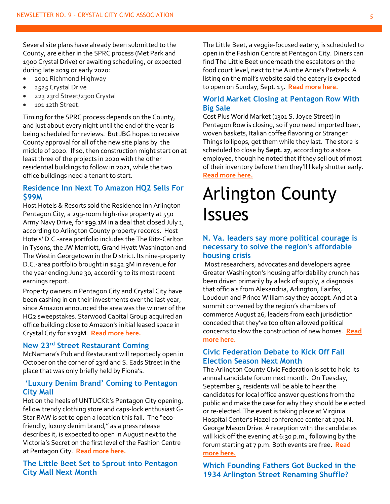Several site plans have already been submitted to the County, are either in the SPRC process (Met Park and 1900 Crystal Drive) or awaiting scheduling, or expected during late 2019 or early 2020:

- 2001 Richmond Highway
- 2525 Crystal Drive
- 223 23rd Street/2300 Crystal
- 101 12th Street.

Timing for the SPRC process depends on the County, and just about every night until the end of the year is being scheduled for reviews. But JBG hopes to receive County approval for all of the new site plans by the middle of 2020. If so, then construction might start on at least three of the projects in 2020 with the other residential buildings to follow in 2021, while the two office buildings need a tenant to start.

#### <span id="page-4-0"></span>**Residence Inn Next To Amazon HQ2 Sells For \$99M**

Host Hotels & Resorts sold the Residence Inn Arlington Pentagon City, a 299-room high-rise property at 550 Army Navy Drive, for \$99.1M in a deal that closed July 1, according to Arlington County property records. Host Hotels' D.C.-area portfolio includes the The Ritz-Carlton in Tysons, the JW Marriott, Grand Hyatt Washington and The Westin Georgetown in the District. Its nine-property D.C.-area portfolio brought in \$252.3M in revenue for the year ending June 30, according to its most recent earnings report.

Property owners in Pentagon City and Crystal City have been cashing in on their investments over the last year, since Amazon announced the area was the winner of the HQ2 sweepstakes. Starwood Capital Group acquired an office building close to Amazon's initial leased space in Crystal City for \$123M. **[Read more here.](https://www.bisnow.com/washington-dc/news/hotel/host-hotels-amazon-hq2-residence-inn-marriott-arlington-100306?utm_source=outbound_pub_67&utm_campaign=outbound_issue_31282&utm_content=link_text&utm_medium=email)**

#### <span id="page-4-1"></span>**New 23rd Street Restaurant Coming**

McNamara's Pub and Restaurant will reportedly open in October on the corner of 23rd and S. Eads Street in the place that was only briefly held by Fiona's.

#### <span id="page-4-2"></span>**'Luxury Denim Brand' Coming to Pentagon City Mall**

Hot on the heels of UNTUCKit's Pentagon City opening, fellow trendy clothing store and caps-lock enthusiast G-Star RAW is set to open a location this fall. The "ecofriendly, luxury denim brand," as a press release describes it, is expected to open in August next to the Victoria's Secret on the first level of the Fashion Centre at Pentagon City. **[Read more here.](https://www.arlnow.com/2019/08/09/luxury-denim-brand-coming-to-pentagon-city-mall/?mc_cid=11794a6084&mc_eid=e22d65c5c2)**

#### <span id="page-4-3"></span>**The Little Beet Set to Sprout into Pentagon City Mall Next Month**

The Little Beet, a veggie-focused eatery, is scheduled to open in the Fashion Centre at Pentagon City. Diners can find The Little Beet underneath the escalators on the food court level, next to the Auntie Anne's Pretzels. A listing on the mall's website said the eatery is expected to open on Sunday, Sept. 15. **[Read more here.](https://www.arlnow.com/2019/08/15/the-little-beet-set-to-sprout-into-pentagon-city-mall-next-month/?mc_cid=9c00ccf963&mc_eid=e22d65c5c2)**

#### <span id="page-4-4"></span>**World Market Closing at Pentagon Row With Big Sale**

Cost Plus World Market (1301 S. Joyce Street) in Pentagon Row is closing, so if you need imported beer, woven baskets, Italian coffee flavoring or Stranger Things lollipops, get them while they last. The store is scheduled to close by **Sept. 27**, according to a store employee, though he noted that if they sell out of most of their inventory before then they'll likely shutter early. **[Read more here.](https://www.arlnow.com/2019/08/06/world-market-closing-in-pentagon-row-with-big-sale/?mc_cid=6ae93946f9&mc_eid=e22d65c5c2)**

## Arlington County Issues

#### <span id="page-4-5"></span>**N. Va. leaders say more political courage is necessary to solve the region's affordable housing crisis**

Most researchers, advocates and developers agree Greater Washington's housing affordability crunch has been driven primarily by a lack of supply, a diagnosis that officials from Alexandria, Arlington, Fairfax, Loudoun and Prince William say they accept. And at a summit convened by the region's chambers of commerce August 26, leaders from each jurisdiction conceded that they've too often allowed political concerns to slow the construction of new homes. **[Read](https://www.bizjournals.com/washington/news/2019/08/26/n-va-leaders-say-more-political-courage-is.html?ana=e_ae_set1&j=89868411&t=Afternoon&mkt_tok=eyJpIjoiTVRVMFpEUmlZekEyTlRnNCIsInQiOiIwM1MrVmpvdHlcL0M3SkRKQllqa0dmUktRTWYyZ0d2T3hoTzJKZmVmQnN2RHhGNTdWWjNHK1pTQTVrRjVHUHFyWVhucDhWcFdpTFwvSGR1Q0s5aE04XC81alp0ZktWR0hwTGZzTnY2VWxzNTZ1ZDAyc293YktRalhmbklBRVd5cTRTQSJ9)  [more here.](https://www.bizjournals.com/washington/news/2019/08/26/n-va-leaders-say-more-political-courage-is.html?ana=e_ae_set1&j=89868411&t=Afternoon&mkt_tok=eyJpIjoiTVRVMFpEUmlZekEyTlRnNCIsInQiOiIwM1MrVmpvdHlcL0M3SkRKQllqa0dmUktRTWYyZ0d2T3hoTzJKZmVmQnN2RHhGNTdWWjNHK1pTQTVrRjVHUHFyWVhucDhWcFdpTFwvSGR1Q0s5aE04XC81alp0ZktWR0hwTGZzTnY2VWxzNTZ1ZDAyc293YktRalhmbklBRVd5cTRTQSJ9)**

#### <span id="page-4-6"></span>**[Civic Federation Debate to Kick Off Fall](https://www.arlnow.com/2019/08/20/civic-federation-to-kick-off-election-debate-next-month/)  [Election Season Next Month](https://www.arlnow.com/2019/08/20/civic-federation-to-kick-off-election-debate-next-month/)**

The Arlington County Civic Federation is set to hold its annual candidate forum next month. On Tuesday, September 3, residents will be able to hear the candidates for local office answer questions from the public and make the case for why they should be elected or re-elected. The event is taking place at Virginia Hospital Center's Hazel conference center at 1701 N. George Mason Drive. A reception with the candidates will kick off the evening at 6:30 p.m., following by the forum starting at 7 p.m. Both events are free. **[Read](https://www.arlnow.com/2019/08/20/civic-federation-to-kick-off-election-debate-next-month/?mc_cid=3e8bf6ee51&mc_eid=e22d65c5c2)  [more here.](https://www.arlnow.com/2019/08/20/civic-federation-to-kick-off-election-debate-next-month/?mc_cid=3e8bf6ee51&mc_eid=e22d65c5c2)**

<span id="page-4-7"></span>**Which Founding Fathers Got Bucked in the 1934 Arlington Street Renaming Shuffle?**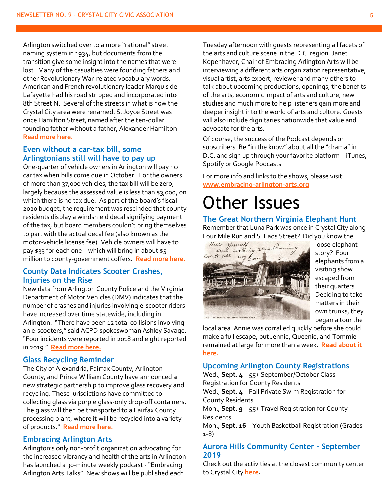Arlington switched over to a more "rational" street naming system in 1934, but documents from the transition give some insight into the names that were lost. Many of the casualties were founding fathers and other Revolutionary War-related vocabulary words. American and French revolutionary leader Marquis de Lafayette had his road stripped and incorporated into 8th Street N. Several of the streets in what is now the Crystal City area were renamed. S. Joyce Street was once Hamilton Street, named after the ten-dollar founding father without a father, Alexander Hamilton. **[Read more here.](https://www.arlnow.com/2019/08/21/which-founding-fathers-got-bucked-in-the-1934-arlington-street-renaming-shuffle/?mc_cid=0449c7b47c&mc_eid=e22d65c5c2)**

#### <span id="page-5-0"></span>**Even without a car-tax bill, some Arlingtonians still will have to pay up**

One-quarter of vehicle owners in Arlington will pay no car tax when bills come due in October. For the owners of more than 37,000 vehicles, the tax bill will be zero, largely because the assessed value is less than \$3,000, on which there is no tax due. As part of the board's fiscal 2020 budget, the requirement was rescinded that county residents display a windshield decal signifying payment of the tax, but board members couldn't bring themselves to part with the actual decal fee (also known as the motor-vehicle license fee). Vehicle owners will have to pay \$33 for each one – which will bring in about \$5 million to county-government coffers. **[Read more here.](https://www.insidenova.com/news/arlington/even-without-a-car-tax-bill-some-arlingtonians-still-will/article_544093b4-c44b-11e9-ba5e-9b70bd4cfd53.html#utm_source=insidenova.com&utm_campaign=%2Fnewsletters%2Finsidenova-top-stories%2F%3F-dc%3D1566489137&utm_medium=email&utm_content=read%20more)**

#### <span id="page-5-1"></span>**County Data Indicates Scooter Crashes, Injuries on the Rise**

New data from Arlington County Police and the Virginia Department of Motor Vehicles (DMV) indicates that the number of crashes and injuries involving e-scooter riders have increased over time statewide, including in Arlington. "There have been 12 total collisions involving an e-scooters," said ACPD spokeswoman Ashley Savage. "Four incidents were reported in 2018 and eight reported in 2019." **[Read more here.](https://www.arlnow.com/2019/08/05/county-data-indicates-scooter-crashes-injuries-on-the-rise/?mc_cid=e6f7d4f27d&mc_eid=e22d65c5c2)**

#### <span id="page-5-2"></span>**Glass Recycling Reminder**

The City of Alexandria, Fairfax County, Arlington County, and Prince William County have announced a new strategic partnership to improve glass recovery and recycling. These jurisdictions have committed to collecting glass via purple glass-only drop-off containers. The glass will then be transported to a Fairfax County processing plant, where it will be recycled into a variety of products." **[Read more here.](https://www.alexandriava.gov/news_display.aspx?id=109384&fbclid=IwAR3wVmWCUPLqGGMITffv0Yg2nCYcBVjiaZAFnKblEhzrfzmewBys7TBlfXs)**

#### <span id="page-5-3"></span>**Embracing Arlington Arts**

Arlington's only non-profit organization advocating for the increased vibrancy and health of the arts in Arlington has launched a 30-minute weekly podcast - "Embracing Arlington Arts Talks". New shows will be published each

Tuesday afternoon with guests representing all facets of the arts and culture scene in the D.C. region. Janet Kopenhaver, Chair of Embracing Arlington Arts will be interviewing a different arts organization representative, visual artist, arts expert, reviewer and many others to talk about upcoming productions, openings, the benefits of the arts, economic impact of arts and culture, new studies and much more to help listeners gain more and deeper insight into the world of arts and culture. Guests will also include dignitaries nationwide that value and advocate for the arts.

Of course, the success of the Podcast depends on subscribers. Be "in the know" about all the "drama" in D.C. and sign up through your favorite platform – iTunes, Spotify or Google Podcasts.

For more info and links to the shows, please visit: **<www.embracing-arlington-arts.org>**

### Other Issues

<span id="page-5-4"></span>**The Great Northern Virginia Elephant Hunt** Remember that Luna Park was once in Crystal City along



loose elephant story? Four elephants from a visiting show escaped from their quarters. Deciding to take matters in their own trunks, they began a tour the

local area. Annie was corralled quickly before she could make a full escape, but Jennie, Queenie, and Tommie remained at large for more than a week. **[Read about it](https://library.arlingtonva.us/2019/08/22/the-great-northern-virginia-elephant-hunt/)  [here.](https://library.arlingtonva.us/2019/08/22/the-great-northern-virginia-elephant-hunt/)**

#### <span id="page-5-5"></span>**Upcoming Arlington County Registrations**

Wed., **Sept. 4** – 55+ September/October Class Registration for County Residents Wed., **Sept. 4** – Fall Private Swim Registration for County Residents Mon., **Sept. 9** – 55+ Travel Registration for County Residents Mon., **Sept. 16** – Youth Basketball Registration (Grades 1-8)

#### <span id="page-5-6"></span>**Aurora Hills Community Center - September 2019**

Check out the activities at the closest community center to Crystal City **[here.](https://content.govdelivery.com/accounts/VAARLINGTON/bulletins/25b86f0)**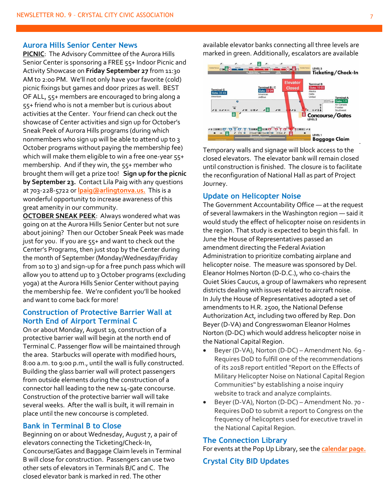#### **Aurora Hills Senior Center News**

**PICNIC**: The Advisory Committee of the Aurora Hills Senior Center is sponsoring a FREE 55+ Indoor Picnic and Activity Showcase on **Friday September 27** from 11:30 AM to 2:00 PM. We'll not only have your favorite (cold) picnic fixings but games and door prizes as well. BEST OF ALL, 55+ members are encouraged to bring along a 55+ friend who is not a member but is curious about activities at the Center. Your friend can check out the showcase of Center activities and sign up for October's Sneak Peek of Aurora Hills programs (during which nonmembers who sign up will be able to attend up to 3 October programs without paying the membership fee) which will make them eligible to win a free one-year 55+ membership. And if they win, the 55+ member who brought them will get a prize too! **Sign up for the picnic by September 23.** Contact Lila Paig with any questions at 703-228-5722 or **[lpaig@arlingtonva.us.](mailto:lpaig@arlingtonva.us)** This is a wonderful opportunity to increase awareness of this great amenity in our community.

**OCTOBER SNEAK PEEK**: Always wondered what was going on at the Aurora Hills Senior Center but not sure about joining? Then our October Sneak Peek was made just for you. If you are 55+ and want to check out the Center's Programs, then just stop by the Center during the month of September (Monday/Wednesday/Friday from 10 to 3) and sign-up for a free punch pass which will allow you to attend up to 3 October programs (excluding yoga) at the Aurora Hills Senior Center without paying the membership fee. We're confident you'll be hooked and want to come back for more!

#### <span id="page-6-0"></span>**Construction of Protective Barrier Wall at North End of Airport Terminal C**

On or about Monday, August 19, construction of a protective barrier wall will begin at the north end of Terminal C. Passenger flow will be maintained through the area. Starbucks will operate with modified hours, 8:00 a.m. to 9:00 p.m., until the wall is fully constructed. Building the glass barrier wall will protect passengers from outside elements during the construction of a connector hall leading to the new 14-gate concourse. Construction of the protective barrier wall will take several weeks. After the wall is built, it will remain in place until the new concourse is completed.

#### <span id="page-6-1"></span>**Bank in Terminal B to Close**

Beginning on or about Wednesday, August 7, a pair of elevators connecting the Ticketing/Check-In, Concourse/Gates and Baggage Claim levels in Terminal B will close for construction. Passengers can use two other sets of elevators in Terminals B/C and C. The closed elevator bank is marked in red. The other

available elevator banks connecting all three levels are marked in green. Additionally, escalators are available



Temporary walls and signage will block access to the closed elevators. The elevator bank will remain closed until construction is finished. The closure is to facilitate the reconfiguration of National Hall as part of Project Journey.

#### <span id="page-6-2"></span>**Update on Helicopter Noise**

The Government Accountability Office — at the request of several lawmakers in the Washington region — said it would study the effect of helicopter noise on residents in the region. That study is expected to begin this fall. In June the House of Representatives passed an amendment directing the Federal Aviation Administration to prioritize combating airplane and helicopter noise. The measure was sponsored by Del. Eleanor Holmes Norton (D-D.C.), who co-chairs the Quiet Skies Caucus, a group of lawmakers who represent districts dealing with issues related to aircraft noise. In July the House of Representatives adopted a set of amendments to H.R. 2500, the National Defense Authorization Act, including two offered by Rep. Don Beyer (D-VA) and Congresswoman Eleanor Holmes Norton (D-DC) which would address helicopter noise in the National Capital Region.

- Beyer (D-VA), Norton (D-DC) Amendment No. 69 Requires DoD to fulfill one of the recommendations of its 2018 report entitled "Report on the Effects of Military Helicopter Noise on National Capital Region Communities" by establishing a noise inquiry website to track and analyze complaints.
- Beyer (D-VA), Norton (D-DC) Amendment No. 70 Requires DoD to submit a report to Congress on the frequency of helicopters used for executive travel in the National Capital Region.

#### **The Connection Library**

For events at the Pop Up Library, see the **[calendar page.](http://library.arlingtonva.us/calendar/?event_branch=Connection%3A+Crystal+City)**

#### <span id="page-6-3"></span>**Crystal City BID Updates**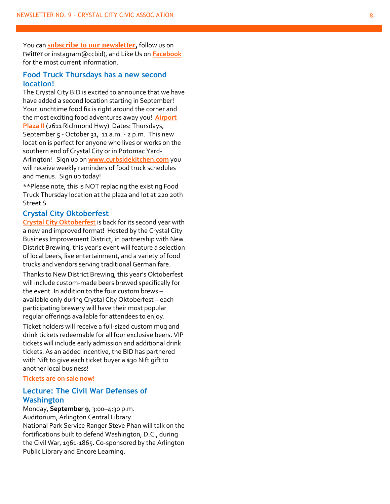You can **[subscribe to our newsletter](https://www.crystalcity.org/subscribe) ,** follow us on [twitter](http://sg.geomailer.net/wf/click?upn=Vq-2BQveWjclNF-2BKWuDWwBHzxB2pFfrXszDPfYMvvWM-2Fo-3D_zb1QXmC-2FYFlCc5N0qvmxlcutV0U4XTkGEX-2F6dYUcpcskbBHlVPpFL42WURR7ItJODzR9ZhJ5G3OZNqrZGLqchZ-2Bv822rykBoF4wKqwMIm6V1F-2B08Am-2F4tKn-2Fz1S1wiM3e2iLr1xAKmYRFvskoZnBQpSiyd6DmPxZQTBhqj3DmlfpVxTWdMVhkVZKMQAJdqFx0YSk924-2BFNeVOutf-2BBI4aDlPW-2F2susSPDMGTYLa7xZ-2F-2B1dQq22w6EhNi6aEaRTbzfK0JFYrdiKegBlFDdz2PT1m1oNsVGDr-2Fpv-2BGsDJjVHQ-3D) or instagram@ccbid), and Like Us on **[Facebook](http://sg.geomailer.net/wf/click?upn=zOwe-2FII-2FqKYuL3cnbEEfYsTP-2FkLd-2BCGcwKgCdHb5rA2bC-2FkpzKFEePrBOFm5fmuL_zb1QXmC-2FYFlCc5N0qvmxlcutV0U4XTkGEX-2F6dYUcpcskbBHlVPpFL42WURR7ItJODzR9ZhJ5G3OZNqrZGLqchZ-2Bv822rykBoF4wKqwMIm6V1F-2B08Am-2F4tKn-2Fz1S1wiM3vdZyqYCp33rGxeeOJgO-2F1660UmDaDGY8gHdsP9baDPwIYG-2BdqrLVfsTnu7-2BnhgLfibx22-2B8F5fmw3M9rHU6Gp84EQAS51huZ3WdvctHP0scQWImru93Eb-2FwPhtJ9xE7gdLrhr5osFx62e4TuiYSJGTcSwOWGlAorD82kdzRVPKc-3D)** for the most current information.

#### <span id="page-7-0"></span>**Food Truck Thursdays has a new second location!**

The Crystal City BID is excited to announce that we have have added a second location starting in September! Your lunchtime food fix is right around the corner and the most exciting food adventures away you! **[Airport](https://goo.gl/maps/JsAe8uzVQSse9iZM9)**  [Plaza II](https://goo.gl/maps/JsAe8uzVQSse9iZM9)<sub></sub> (2611 Richmond Hwy) Dates: Thursdays, September 5 - October 31, 11 a.m. - 2 p.m. This new location is perfect for anyone who lives or works on the southern end of Crystal City or in Potomac Yard - Arlington! Sign up on **[www.curbsidekitchen.com](www.curbsidekitchen.com%20)** you will receive weekly reminders of food truck schedules and menus. Sign up today!

\*\*Please note, this is NOT replacing the existing Food Truck Thursday location at the plaza and lot at 220 20th Street S.

#### <span id="page-7-1"></span>**Crystal City Oktoberfest**

**[Crystal City Oktoberfes](http://sg.geomailer.net/wf/click?upn=IqkZfFt1ImzF-2FOxV8Q1FTFbkrGXmiY2I3c4avROIRM5GPaj6xar55JR6yLX-2FWFCS0-2FsV-2Fe3a61KLYOCi2XZs4fKCkFvPmwIPrmfHIk2yazsAsJgfcID7rcLo5z4TP5XN_SMt1z8NO9Cbq-2FWZSdy8k41GxtljtCR0BTTh9BJnmgTegUsqoBh5jbml9o4WeoQXYvXEqGcrvj6KIYVCVOoqQTTPehDpTrwi7rYExqGfplN2FQcW6Qkmq-2FvyhI-2BPgVpK63SuWRiCFagL2lcUuz5ol1huOOaLbG585YSf29Lt8E8nRoaYsccPTCzXjAAkIuw6XqvF73wPzAUv5pPQ4w7-2F0c24beYw9hGhrr2O7B4zoEZYt6iN7HeAPNQywZHgjNyamghGeU-2FmIkXIHmx1GEUeIm6LhFWP47YyhXddgGwcyO5s-3D)t** is back for its second year with a new and improved format! Hosted by the Crystal City Business Improvement District, in partnership with New District Brewing, this year's event will feature a selection of local beers, live entertainment, and a variety of food trucks and vendors serving traditional German fare.

Thanks to New District Brewing, this year's Oktoberfest will include custom -made beers brewed specifically for the event. In addition to the four custom brews – available only during Crystal City Oktoberfest – each participating brewery will have their most popular regular offerings available for attendees to enjoy.

Ticket holders will receive a full -sized custom mug and drink tickets redeemable for all four exclusive beers. VIP tickets will include early admission and additional drink tickets. As an added incentive, the BID has partnered with Nift to give each ticket buyer a \$30 Nift gift to another local business!

#### **Tickets are [on sale now!](http://sg.geomailer.net/wf/click?upn=IqkZfFt1ImzF-2FOxV8Q1FTFbkrGXmiY2I3c4avROIRM5GPaj6xar55JR6yLX-2FWFCS0-2FsV-2Fe3a61KLYOCi2XZs4fKCkFvPmwIPrmfHIk2yazsAsJgfcID7rcLo5z4TP5XN_SMt1z8NO9Cbq-2FWZSdy8k41GxtljtCR0BTTh9BJnmgTegUsqoBh5jbml9o4WeoQXYvXEqGcrvj6KIYVCVOoqQTTPehDpTrwi7rYExqGfplN2FQcW6Qkmq-2FvyhI-2BPgVpK63SuWRiCFagL2lcUuz5ol1l5yVolRfInQAyxJbgj1c1b2ArJA3M6hSCOUV965w3m5aYlHFDP1e0VEUkQToDHRwv7pbZ2DYcaM9eZlA-2ByIO43iqxEbVcQ-2FudeqodAitNpp1TAev0QCmhVnXvgrp8zLV9fA2lRVYdzw8XxF20qWY64-3D)**

#### <span id="page-7-2"></span>**Lecture: The Civil War Defenses of Washington**

Monday, **September 9**, 3:00 –4:30 p.m. Auditorium, Arlington Central Library National Park Service Ranger Steve Phan will talk on the fortifications built to defend Washington, D.C., during the Civil War, 1961 -1865. Co -sponsored by the Arlington Public Library and Encore Learning.